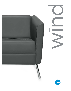



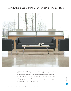## Wind", the classic lounge series with a timeless look



Classic, contemporary and refined are the words most often used to describe the Wind lounge seating series. The simple geometry and slim proportions create a relaxed and open atmosphere even when space is at a premium. Wind lounge tables complement the seating series. Matching Chrome legs support slim profile tops in square or round configurations. Table tops are available in MDF (with epoxy finishes that feature a reverse waterfall edge) or select any standard Global laminate finish with square, self edge detail.